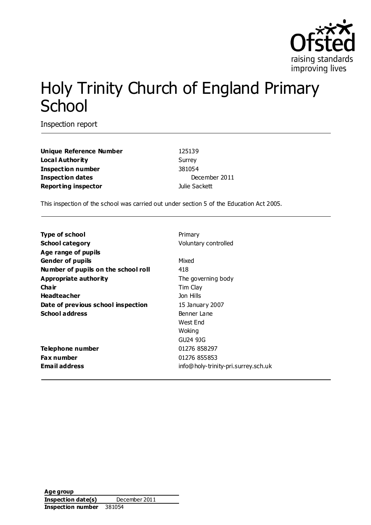

# Holy Trinity Church of England Primary **School**

Inspection report

**Unique Reference Number** 125139 **Local Authority** Surrey **Inspection number** 381054 **Inspection dates** December 2011 **Reporting inspector Contracts Dulie Sackett** 

This inspection of the school was carried out under section 5 of the Education Act 2005.

| <b>Type of school</b>               | Primary                             |
|-------------------------------------|-------------------------------------|
| School category                     | Voluntary controlled                |
| Age range of pupils                 |                                     |
| Gender of pupils                    | Mixed                               |
| Number of pupils on the school roll | 418                                 |
| Appropriate authority               | The governing body                  |
| Cha ir                              | Tim Clay                            |
| Headteacher                         | Jon Hills                           |
| Date of previous school inspection  | 15 January 2007                     |
| School address                      | Benner Lane                         |
|                                     | West End                            |
|                                     | Woking                              |
|                                     | GU24 9JG                            |
| Telephone number                    | 01276 858297                        |
| Fax number                          | 01276 855853                        |
| Email address                       | info@holy-trinity-pri.surrey.sch.uk |
|                                     |                                     |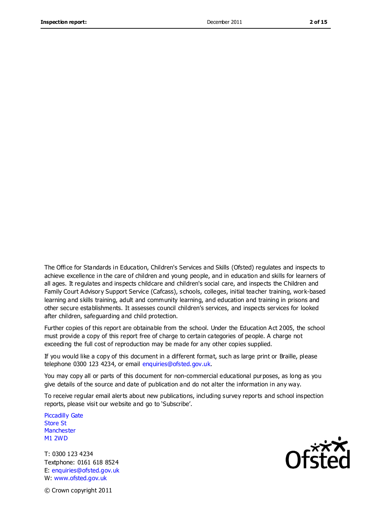The Office for Standards in Education, Children's Services and Skills (Ofsted) regulates and inspects to achieve excellence in the care of children and young people, and in education and skills for learners of all ages. It regulates and inspects childcare and children's social care, and inspects the Children and Family Court Advisory Support Service (Cafcass), schools, colleges, initial teacher training, work-based learning and skills training, adult and community learning, and education and training in prisons and other secure establishments. It assesses council children's services, and inspects services for looked after children, safeguarding and child protection.

Further copies of this report are obtainable from the school. Under the Education Act 2005, the school must provide a copy of this report free of charge to certain categories of people. A charge not exceeding the full cost of reproduction may be made for any other copies supplied.

If you would like a copy of this document in a different format, such as large print or Braille, please telephone 0300 123 4234, or email enquiries@ofsted.gov.uk.

You may copy all or parts of this document for non-commercial educational purposes, as long as you give details of the source and date of publication and do not alter the information in any way.

To receive regular email alerts about new publications, including survey reports and school inspection reports, please visit our website and go to 'Subscribe'.

Piccadilly Gate Store St **Manchester** M1 2WD

T: 0300 123 4234 Textphone: 0161 618 8524 E: enquiries@ofsted.gov.uk W: www.ofsted.gov.uk



© Crown copyright 2011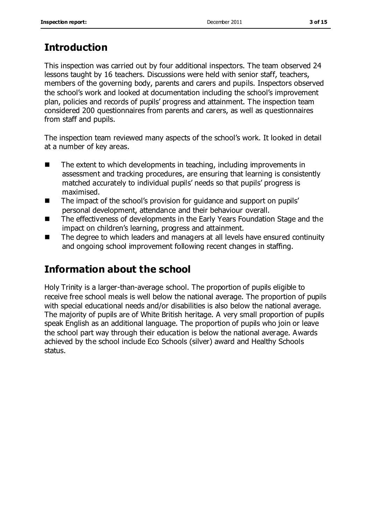# **Introduction**

This inspection was carried out by four additional inspectors. The team observed 24 lessons taught by 16 teachers. Discussions were held with senior staff, teachers, members of the governing body, parents and carers and pupils. Inspectors observed the school's work and looked at documentation including the school's improvement plan, policies and records of pupils' progress and attainment. The inspection team considered 200 questionnaires from parents and carers, as well as questionnaires from staff and pupils.

The inspection team reviewed many aspects of the school's work. It looked in detail at a number of key areas.

- $\blacksquare$  The extent to which developments in teaching, including improvements in assessment and tracking procedures, are ensuring that learning is consistently matched accurately to individual pupils' needs so that pupils' progress is maximised.
- The impact of the school's provision for guidance and support on pupils' personal development, attendance and their behaviour overall.
- The effectiveness of developments in the Early Years Foundation Stage and the impact on children's learning, progress and attainment.
- The degree to which leaders and managers at all levels have ensured continuity and ongoing school improvement following recent changes in staffing.

# **Information about the school**

Holy Trinity is a larger-than-average school. The proportion of pupils eligible to receive free school meals is well below the national average. The proportion of pupils with special educational needs and/or disabilities is also below the national average. The majority of pupils are of White British heritage. A very small proportion of pupils speak English as an additional language. The proportion of pupils who join or leave the school part way through their education is below the national average. Awards achieved by the school include Eco Schools (silver) award and Healthy Schools status.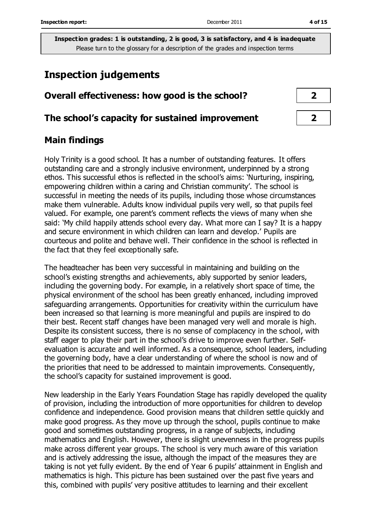# **Inspection judgements**

### **Overall effectiveness: how good is the school? 2**

#### **The school's capacity for sustained improvement 2**

#### **Main findings**

Holy Trinity is a good school. It has a number of outstanding features. It offers outstanding care and a strongly inclusive environment, underpinned by a strong ethos. This successful ethos is reflected in the school's aims: 'Nurturing, inspiring, empowering children within a caring and Christian community'. The school is successful in meeting the needs of its pupils, including those whose circumstances make them vulnerable. Adults know individual pupils very well, so that pupils feel valued. For example, one parent's comment reflects the views of many when she said: 'My child happily attends school every day. What more can I say? It is a happy and secure environment in which children can learn and develop.' Pupils are courteous and polite and behave well. Their confidence in the school is reflected in the fact that they feel exceptionally safe.

The headteacher has been very successful in maintaining and building on the school's existing strengths and achievements, ably supported by senior leaders, including the governing body. For example, in a relatively short space of time, the physical environment of the school has been greatly enhanced, including improved safeguarding arrangements. Opportunities for creativity within the curriculum have been increased so that learning is more meaningful and pupils are inspired to do their best. Recent staff changes have been managed very well and morale is high. Despite its consistent success, there is no sense of complacency in the school, with staff eager to play their part in the school's drive to improve even further. Selfevaluation is accurate and well informed. As a consequence, school leaders, including the governing body, have a clear understanding of where the school is now and of the priorities that need to be addressed to maintain improvements. Consequently, the school's capacity for sustained improvement is good.

New leadership in the Early Years Foundation Stage has rapidly developed the quality of provision, including the introduction of more opportunities for children to develop confidence and independence. Good provision means that children settle quickly and make good progress. As they move up through the school, pupils continue to make good and sometimes outstanding progress, in a range of subjects, including mathematics and English. However, there is slight unevenness in the progress pupils make across different year groups. The school is very much aware of this variation and is actively addressing the issue, although the impact of the measures they are taking is not yet fully evident. By the end of Year 6 pupils' attainment in English and mathematics is high. This picture has been sustained over the past five years and this, combined with pupils' very positive attitudes to learning and their excellent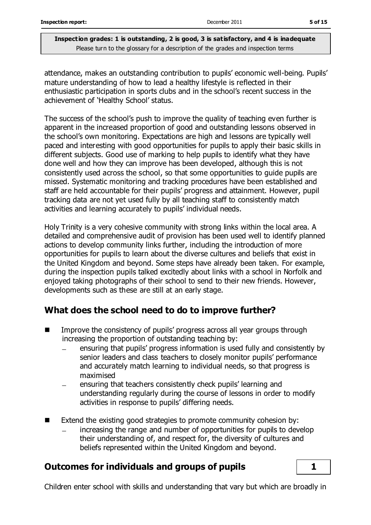attendance, makes an outstanding contribution to pupils' economic well-being. Pupils' mature understanding of how to lead a healthy lifestyle is reflected in their enthusiastic participation in sports clubs and in the school's recent success in the achievement of 'Healthy School' status.

The success of the school's push to improve the quality of teaching even further is apparent in the increased proportion of good and outstanding lessons observed in the school's own monitoring. Expectations are high and lessons are typically well paced and interesting with good opportunities for pupils to apply their basic skills in different subjects. Good use of marking to help pupils to identify what they have done well and how they can improve has been developed, although this is not consistently used across the school, so that some opportunities to guide pupils are missed. Systematic monitoring and tracking procedures have been established and staff are held accountable for their pupils' progress and attainment. However, pupil tracking data are not yet used fully by all teaching staff to consistently match activities and learning accurately to pupils' individual needs.

Holy Trinity is a very cohesive community with strong links within the local area. A detailed and comprehensive audit of provision has been used well to identify planned actions to develop community links further, including the introduction of more opportunities for pupils to learn about the diverse cultures and beliefs that exist in the United Kingdom and beyond. Some steps have already been taken. For example, during the inspection pupils talked excitedly about links with a school in Norfolk and enjoyed taking photographs of their school to send to their new friends. However, developments such as these are still at an early stage.

## **What does the school need to do to improve further?**

- Improve the consistency of pupils' progress across all year groups through increasing the proportion of outstanding teaching by:
	- ensuring that pupils' progress information is used fully and consistently by senior leaders and class teachers to closely monitor pupils' performance and accurately match learning to individual needs, so that progress is maximised
	- ensuring that teachers consistently check pupils' learning and understanding regularly during the course of lessons in order to modify activities in response to pupils' differing needs.
- Extend the existing good strategies to promote community cohesion by:
	- increasing the range and number of opportunities for pupils to develop their understanding of, and respect for, the diversity of cultures and beliefs represented within the United Kingdom and beyond.

### **Outcomes for individuals and groups of pupils 1**

Children enter school with skills and understanding that vary but which are broadly in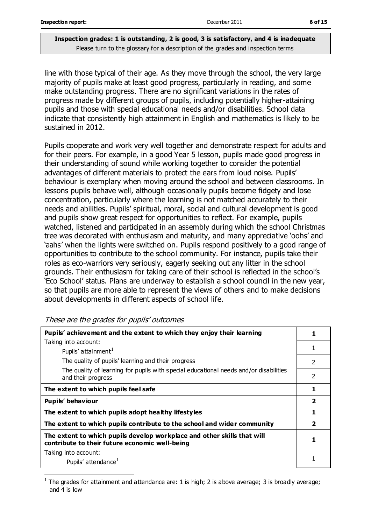line with those typical of their age. As they move through the school, the very large majority of pupils make at least good progress, particularly in reading, and some make outstanding progress. There are no significant variations in the rates of progress made by different groups of pupils, including potentially higher-attaining pupils and those with special educational needs and/or disabilities. School data indicate that consistently high attainment in English and mathematics is likely to be sustained in 2012.

Pupils cooperate and work very well together and demonstrate respect for adults and for their peers. For example, in a good Year 5 lesson, pupils made good progress in their understanding of sound while working together to consider the potential advantages of different materials to protect the ears from loud noise. Pupils' behaviour is exemplary when moving around the school and between classrooms. In lessons pupils behave well, although occasionally pupils become fidgety and lose concentration, particularly where the learning is not matched accurately to their needs and abilities. Pupils' spiritual, moral, social and cultural development is good and pupils show great respect for opportunities to reflect. For example, pupils watched, listened and participated in an assembly during which the school Christmas tree was decorated with enthusiasm and maturity, and many appreciative 'oohs' and 'aahs' when the lights were switched on. Pupils respond positively to a good range of opportunities to contribute to the school community. For instance, pupils take their roles as eco-warriors very seriously, eagerly seeking out any litter in the school grounds. Their enthusiasm for taking care of their school is reflected in the school's 'Eco School' status. Plans are underway to establish a school council in the new year, so that pupils are more able to represent the views of others and to make decisions about developments in different aspects of school life.

| Pupils' achievement and the extent to which they enjoy their learning                                                     |                         |  |
|---------------------------------------------------------------------------------------------------------------------------|-------------------------|--|
| Taking into account:                                                                                                      |                         |  |
| Pupils' attainment <sup>1</sup>                                                                                           |                         |  |
| The quality of pupils' learning and their progress                                                                        | $\mathcal{P}$           |  |
| The quality of learning for pupils with special educational needs and/or disabilities<br>and their progress               | 2                       |  |
| The extent to which pupils feel safe                                                                                      | 1                       |  |
| Pupils' behaviour                                                                                                         | $\overline{2}$          |  |
| The extent to which pupils adopt healthy lifestyles                                                                       | 1                       |  |
| The extent to which pupils contribute to the school and wider community                                                   | $\overline{\mathbf{2}}$ |  |
| The extent to which pupils develop workplace and other skills that will<br>contribute to their future economic well-being |                         |  |
|                                                                                                                           |                         |  |
| Taking into account:<br>Pupils' attendance <sup>1</sup>                                                                   |                         |  |

#### These are the grades for pupils' outcomes

 $\overline{a}$ 

<sup>1</sup> The grades for attainment and attendance are: 1 is high; 2 is above average; 3 is broadly average; and 4 is low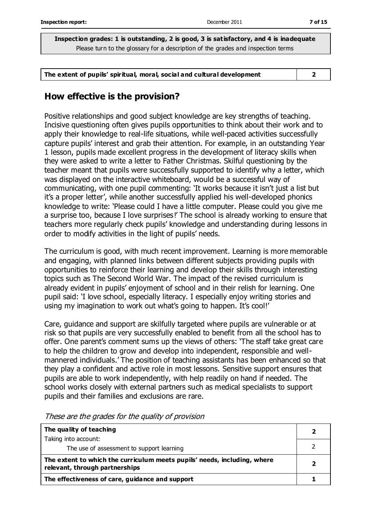**The extent of pupils' spiritual, moral, social and cultural development 2**

### **How effective is the provision?**

Positive relationships and good subject knowledge are key strengths of teaching. Incisive questioning often gives pupils opportunities to think about their work and to apply their knowledge to real-life situations, while well-paced activities successfully capture pupils' interest and grab their attention. For example, in an outstanding Year 1 lesson, pupils made excellent progress in the development of literacy skills when they were asked to write a letter to Father Christmas. Skilful questioning by the teacher meant that pupils were successfully supported to identify why a letter, which was displayed on the interactive whiteboard, would be a successful way of communicating, with one pupil commenting: 'It works because it isn't just a list but it's a proper letter', while another successfully applied his well-developed phonics knowledge to write: 'Please could I have a little computer. Please could you give me a surprise too, because I love surprises!' The school is already working to ensure that teachers more regularly check pupils' knowledge and understanding during lessons in order to modify activities in the light of pupils' needs.

The curriculum is good, with much recent improvement. Learning is more memorable and engaging, with planned links between different subjects providing pupils with opportunities to reinforce their learning and develop their skills through interesting topics such as The Second World War. The impact of the revised curriculum is already evident in pupils' enjoyment of school and in their relish for learning. One pupil said: 'I love school, especially literacy. I especially enjoy writing stories and using my imagination to work out what's going to happen. It's cool!'

Care, guidance and support are skilfully targeted where pupils are vulnerable or at risk so that pupils are very successfully enabled to benefit from all the school has to offer. One parent's comment sums up the views of others: 'The staff take great care to help the children to grow and develop into independent, responsible and wellmannered individuals.' The position of teaching assistants has been enhanced so that they play a confident and active role in most lessons. Sensitive support ensures that pupils are able to work independently, with help readily on hand if needed. The school works closely with external partners such as medical specialists to support pupils and their families and exclusions are rare.

| The quality of teaching                                                                                    |  |
|------------------------------------------------------------------------------------------------------------|--|
| Taking into account:                                                                                       |  |
| The use of assessment to support learning                                                                  |  |
| The extent to which the curriculum meets pupils' needs, including, where<br>relevant, through partnerships |  |
| The effectiveness of care, guidance and support                                                            |  |

These are the grades for the quality of provision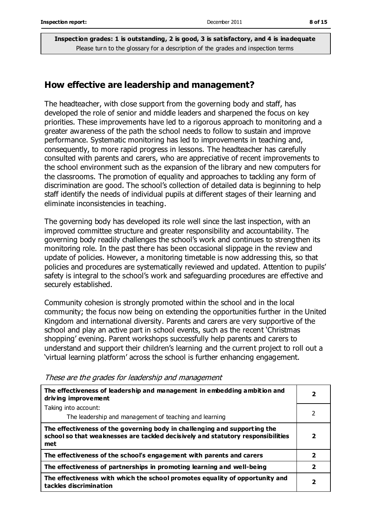#### **How effective are leadership and management?**

The headteacher, with close support from the governing body and staff, has developed the role of senior and middle leaders and sharpened the focus on key priorities. These improvements have led to a rigorous approach to monitoring and a greater awareness of the path the school needs to follow to sustain and improve performance. Systematic monitoring has led to improvements in teaching and, consequently, to more rapid progress in lessons. The headteacher has carefully consulted with parents and carers, who are appreciative of recent improvements to the school environment such as the expansion of the library and new computers for the classrooms. The promotion of equality and approaches to tackling any form of discrimination are good. The school's collection of detailed data is beginning to help staff identify the needs of individual pupils at different stages of their learning and eliminate inconsistencies in teaching.

The governing body has developed its role well since the last inspection, with an improved committee structure and greater responsibility and accountability. The governing body readily challenges the school's work and continues to strengthen its monitoring role. In the past there has been occasional slippage in the review and update of policies. However, a monitoring timetable is now addressing this, so that policies and procedures are systematically reviewed and updated. Attention to pupils' safety is integral to the school's work and safeguarding procedures are effective and securely established.

Community cohesion is strongly promoted within the school and in the local community; the focus now being on extending the opportunities further in the United Kingdom and international diversity. Parents and carers are very supportive of the school and play an active part in school events, such as the recent 'Christmas shopping' evening. Parent workshops successfully help parents and carers to understand and support their children's learning and the current project to roll out a 'virtual learning platform' across the school is further enhancing engagement.

| The effectiveness of leadership and management in embedding ambition and<br>driving improvement                                                                     |              |
|---------------------------------------------------------------------------------------------------------------------------------------------------------------------|--------------|
| Taking into account:                                                                                                                                                |              |
| The leadership and management of teaching and learning                                                                                                              |              |
| The effectiveness of the governing body in challenging and supporting the<br>school so that weaknesses are tackled decisively and statutory responsibilities<br>met | 2            |
| The effectiveness of the school's engagement with parents and carers                                                                                                | $\mathbf{2}$ |
| The effectiveness of partnerships in promoting learning and well-being                                                                                              | 2            |
| The effectiveness with which the school promotes equality of opportunity and<br>tackles discrimination                                                              | 2            |

These are the grades for leadership and management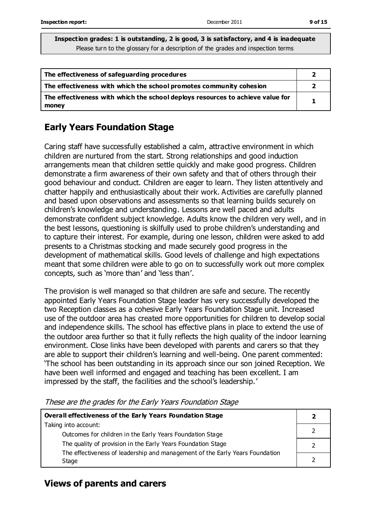| The effectiveness of safeguarding procedures                                            |  |
|-----------------------------------------------------------------------------------------|--|
| The effectiveness with which the school promotes community cohesion                     |  |
| The effectiveness with which the school deploys resources to achieve value for<br>money |  |

### **Early Years Foundation Stage**

Caring staff have successfully established a calm, attractive environment in which children are nurtured from the start. Strong relationships and good induction arrangements mean that children settle quickly and make good progress. Children demonstrate a firm awareness of their own safety and that of others through their good behaviour and conduct. Children are eager to learn. They listen attentively and chatter happily and enthusiastically about their work. Activities are carefully planned and based upon observations and assessments so that learning builds securely on children's knowledge and understanding. Lessons are well paced and adults demonstrate confident subject knowledge. Adults know the children very well, and in the best lessons, questioning is skilfully used to probe children's understanding and to capture their interest. For example, during one lesson, children were asked to add presents to a Christmas stocking and made securely good progress in the development of mathematical skills. Good levels of challenge and high expectations meant that some children were able to go on to successfully work out more complex concepts, such as 'more than' and 'less than'.

The provision is well managed so that children are safe and secure. The recently appointed Early Years Foundation Stage leader has very successfully developed the two Reception classes as a cohesive Early Years Foundation Stage unit. Increased use of the outdoor area has created more opportunities for children to develop social and independence skills. The school has effective plans in place to extend the use of the outdoor area further so that it fully reflects the high quality of the indoor learning environment. Close links have been developed with parents and carers so that they are able to support their children's learning and well-being. One parent commented: 'The school has been outstanding in its approach since our son joined Reception. We have been well informed and engaged and teaching has been excellent. I am impressed by the staff, the facilities and the school's leadership.'

These are the grades for the Early Years Foundation Stage

| <b>Overall effectiveness of the Early Years Foundation Stage</b>             |  |
|------------------------------------------------------------------------------|--|
| Taking into account:                                                         |  |
| Outcomes for children in the Early Years Foundation Stage                    |  |
| The quality of provision in the Early Years Foundation Stage                 |  |
| The effectiveness of leadership and management of the Early Years Foundation |  |
| Stage                                                                        |  |

### **Views of parents and carers**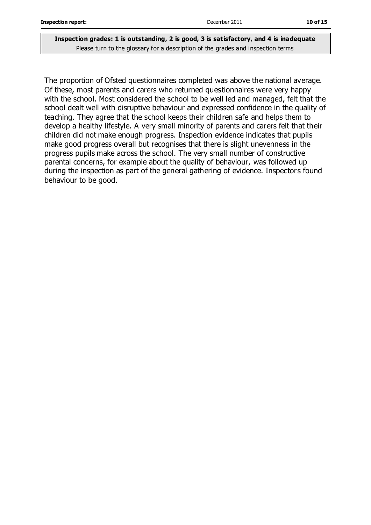The proportion of Ofsted questionnaires completed was above the national average. Of these, most parents and carers who returned questionnaires were very happy with the school. Most considered the school to be well led and managed, felt that the school dealt well with disruptive behaviour and expressed confidence in the quality of teaching. They agree that the school keeps their children safe and helps them to develop a healthy lifestyle. A very small minority of parents and carers felt that their children did not make enough progress. Inspection evidence indicates that pupils make good progress overall but recognises that there is slight unevenness in the progress pupils make across the school. The very small number of constructive parental concerns, for example about the quality of behaviour, was followed up during the inspection as part of the general gathering of evidence. Inspectors found behaviour to be good.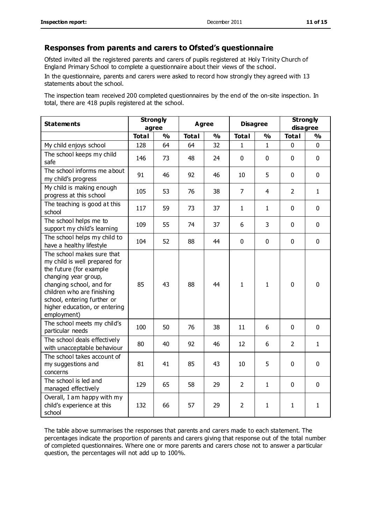#### **Responses from parents and carers to Ofsted's questionnaire**

Ofsted invited all the registered parents and carers of pupils registered at Holy Trinity Church of England Primary School to complete a questionnaire about their views of the school.

In the questionnaire, parents and carers were asked to record how strongly they agreed with 13 statements about the school.

The inspection team received 200 completed questionnaires by the end of the on-site inspection. In total, there are 418 pupils registered at the school.

| <b>Statements</b>                                                                                                                                                                                                                                       | <b>Strongly</b><br>agree |               | Agree        |               | <b>Disagree</b> |              | <b>Strongly</b><br>disagree |               |
|---------------------------------------------------------------------------------------------------------------------------------------------------------------------------------------------------------------------------------------------------------|--------------------------|---------------|--------------|---------------|-----------------|--------------|-----------------------------|---------------|
|                                                                                                                                                                                                                                                         | <b>Total</b>             | $\frac{0}{0}$ | <b>Total</b> | $\frac{1}{2}$ | <b>Total</b>    | %            | <b>Total</b>                | $\frac{1}{2}$ |
| My child enjoys school                                                                                                                                                                                                                                  | 128                      | 64            | 64           | 32            | 1               | 1            | $\Omega$                    | $\Omega$      |
| The school keeps my child<br>safe                                                                                                                                                                                                                       | 146                      | 73            | 48           | 24            | 0               | $\mathbf 0$  | $\mathbf 0$                 | $\mathbf 0$   |
| The school informs me about<br>my child's progress                                                                                                                                                                                                      | 91                       | 46            | 92           | 46            | 10              | 5            | $\mathbf 0$                 | $\mathbf 0$   |
| My child is making enough<br>progress at this school                                                                                                                                                                                                    | 105                      | 53            | 76           | 38            | $\overline{7}$  | 4            | $\overline{2}$              | $\mathbf{1}$  |
| The teaching is good at this<br>school                                                                                                                                                                                                                  | 117                      | 59            | 73           | 37            | 1               | $\mathbf{1}$ | $\mathbf 0$                 | $\mathbf 0$   |
| The school helps me to<br>support my child's learning                                                                                                                                                                                                   | 109                      | 55            | 74           | 37            | 6               | 3            | $\mathbf 0$                 | $\mathbf 0$   |
| The school helps my child to<br>have a healthy lifestyle                                                                                                                                                                                                | 104                      | 52            | 88           | 44            | 0               | $\mathbf 0$  | $\Omega$                    | $\mathbf 0$   |
| The school makes sure that<br>my child is well prepared for<br>the future (for example<br>changing year group,<br>changing school, and for<br>children who are finishing<br>school, entering further or<br>higher education, or entering<br>employment) | 85                       | 43            | 88           | 44            | $\mathbf{1}$    | $\mathbf{1}$ | $\mathbf 0$                 | $\mathbf 0$   |
| The school meets my child's<br>particular needs                                                                                                                                                                                                         | 100                      | 50            | 76           | 38            | 11              | 6            | $\mathbf 0$                 | $\mathbf 0$   |
| The school deals effectively<br>with unacceptable behaviour                                                                                                                                                                                             | 80                       | 40            | 92           | 46            | 12              | 6            | $\overline{2}$              | $\mathbf{1}$  |
| The school takes account of<br>my suggestions and<br>concerns                                                                                                                                                                                           | 81                       | 41            | 85           | 43            | 10              | 5            | $\mathbf 0$                 | $\mathbf 0$   |
| The school is led and<br>managed effectively                                                                                                                                                                                                            | 129                      | 65            | 58           | 29            | $\overline{2}$  | 1            | $\mathbf 0$                 | $\mathbf 0$   |
| Overall, I am happy with my<br>child's experience at this<br>school                                                                                                                                                                                     | 132                      | 66            | 57           | 29            | $\overline{2}$  | 1            | 1                           | $\mathbf{1}$  |

The table above summarises the responses that parents and carers made to each statement. The percentages indicate the proportion of parents and carers giving that response out of the total number of completed questionnaires. Where one or more parents and carers chose not to answer a particular question, the percentages will not add up to 100%.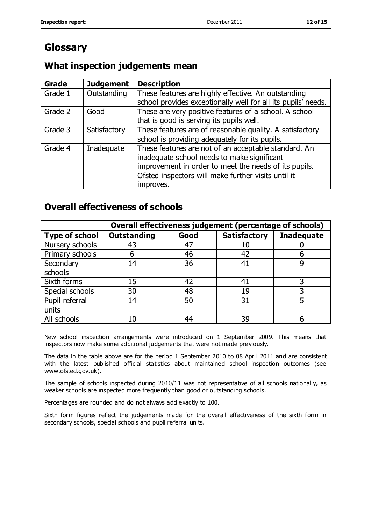# **Glossary**

### **What inspection judgements mean**

| <b>Grade</b> | <b>Judgement</b> | <b>Description</b>                                                                                                                                                                                                               |
|--------------|------------------|----------------------------------------------------------------------------------------------------------------------------------------------------------------------------------------------------------------------------------|
| Grade 1      | Outstanding      | These features are highly effective. An outstanding<br>school provides exceptionally well for all its pupils' needs.                                                                                                             |
| Grade 2      | Good             | These are very positive features of a school. A school<br>that is good is serving its pupils well.                                                                                                                               |
| Grade 3      | Satisfactory     | These features are of reasonable quality. A satisfactory<br>school is providing adequately for its pupils.                                                                                                                       |
| Grade 4      | Inadequate       | These features are not of an acceptable standard. An<br>inadequate school needs to make significant<br>improvement in order to meet the needs of its pupils.<br>Ofsted inspectors will make further visits until it<br>improves. |

### **Overall effectiveness of schools**

|                       | Overall effectiveness judgement (percentage of schools) |      |                     |                   |
|-----------------------|---------------------------------------------------------|------|---------------------|-------------------|
| <b>Type of school</b> | <b>Outstanding</b>                                      | Good | <b>Satisfactory</b> | <b>Inadequate</b> |
| Nursery schools       | 43                                                      | 47   | 10                  |                   |
| Primary schools       | 6                                                       | 46   | 42                  |                   |
| Secondary             | 14                                                      | 36   | 41                  |                   |
| schools               |                                                         |      |                     |                   |
| Sixth forms           | 15                                                      | 42   | 41                  | 3                 |
| Special schools       | 30                                                      | 48   | 19                  |                   |
| Pupil referral        | 14                                                      | 50   | 31                  |                   |
| units                 |                                                         |      |                     |                   |
| All schools           | 10                                                      | 44   | 39                  |                   |

New school inspection arrangements were introduced on 1 September 2009. This means that inspectors now make some additional judgements that were not made previously.

The data in the table above are for the period 1 September 2010 to 08 April 2011 and are consistent with the latest published official statistics about maintained school inspection outcomes (see www.ofsted.gov.uk).

The sample of schools inspected during 2010/11 was not representative of all schools nationally, as weaker schools are inspected more frequently than good or outstanding schools.

Percentages are rounded and do not always add exactly to 100.

Sixth form figures reflect the judgements made for the overall effectiveness of the sixth form in secondary schools, special schools and pupil referral units.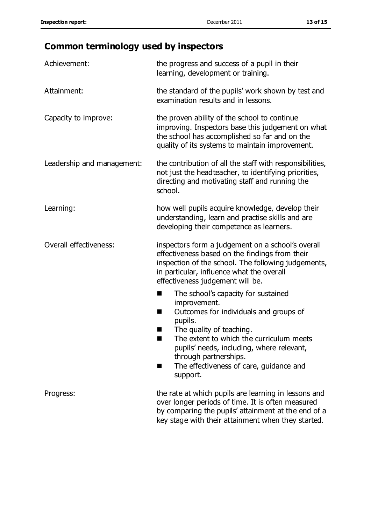# **Common terminology used by inspectors**

| Achievement:               | the progress and success of a pupil in their<br>learning, development or training.                                                                                                                                                                                                                                 |  |  |
|----------------------------|--------------------------------------------------------------------------------------------------------------------------------------------------------------------------------------------------------------------------------------------------------------------------------------------------------------------|--|--|
| Attainment:                | the standard of the pupils' work shown by test and<br>examination results and in lessons.                                                                                                                                                                                                                          |  |  |
| Capacity to improve:       | the proven ability of the school to continue<br>improving. Inspectors base this judgement on what<br>the school has accomplished so far and on the<br>quality of its systems to maintain improvement.                                                                                                              |  |  |
| Leadership and management: | the contribution of all the staff with responsibilities,<br>not just the headteacher, to identifying priorities,<br>directing and motivating staff and running the<br>school.                                                                                                                                      |  |  |
| Learning:                  | how well pupils acquire knowledge, develop their<br>understanding, learn and practise skills and are<br>developing their competence as learners.                                                                                                                                                                   |  |  |
| Overall effectiveness:     | inspectors form a judgement on a school's overall<br>effectiveness based on the findings from their<br>inspection of the school. The following judgements,<br>in particular, influence what the overall<br>effectiveness judgement will be.                                                                        |  |  |
|                            | The school's capacity for sustained<br>improvement.<br>Outcomes for individuals and groups of<br>ш<br>pupils.<br>The quality of teaching.<br>The extent to which the curriculum meets<br>pupils' needs, including, where relevant,<br>through partnerships.<br>The effectiveness of care, guidance and<br>support. |  |  |
| Progress:                  | the rate at which pupils are learning in lessons and<br>over longer periods of time. It is often measured<br>by comparing the pupils' attainment at the end of a<br>key stage with their attainment when they started.                                                                                             |  |  |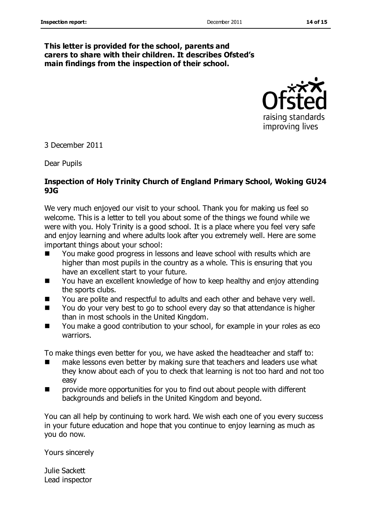#### **This letter is provided for the school, parents and carers to share with their children. It describes Ofsted's main findings from the inspection of their school.**



3 December 2011

Dear Pupils

#### **Inspection of Holy Trinity Church of England Primary School, Woking GU24 9JG**

We very much enjoyed our visit to your school. Thank you for making us feel so welcome. This is a letter to tell you about some of the things we found while we were with you. Holy Trinity is a good school. It is a place where you feel very safe and enjoy learning and where adults look after you extremely well. Here are some important things about your school:

- You make good progress in lessons and leave school with results which are higher than most pupils in the country as a whole. This is ensuring that you have an excellent start to your future.
- You have an excellent knowledge of how to keep healthy and enjoy attending the sports clubs.
- You are polite and respectful to adults and each other and behave very well.
- You do your very best to go to school every day so that attendance is higher than in most schools in the United Kingdom.
- You make a good contribution to your school, for example in your roles as eco warriors.

To make things even better for you, we have asked the headteacher and staff to:

- make lessons even better by making sure that teachers and leaders use what they know about each of you to check that learning is not too hard and not too easy
- **number 10** provide more opportunities for you to find out about people with different backgrounds and beliefs in the United Kingdom and beyond.

You can all help by continuing to work hard. We wish each one of you every success in your future education and hope that you continue to enjoy learning as much as you do now.

Yours sincerely

Julie Sackett Lead inspector